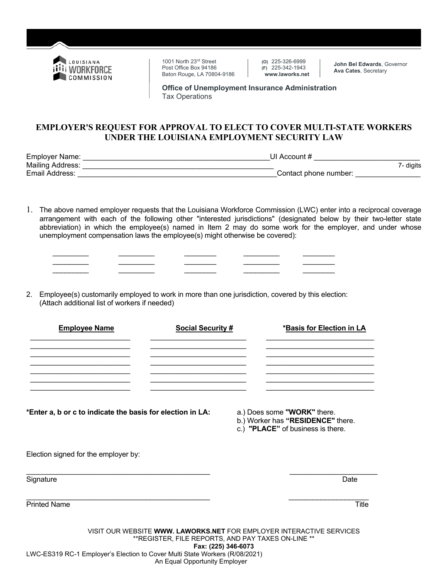

1001 North 23rd Street Post Office Box 94186 Baton Rouge, LA 70804-9186 **(O)** 225-326-6999 **(F)** 225-342-1943  **www.laworks.net**

**John Bel Edwards**, Governor **Ava Cates**, Secretary

**Office of Unemployment Insurance Administration**  Tax Operations

## **EMPLOYER'S REQUEST FOR APPROVAL TO ELECT TO COVER MULTI-STATE WORKERS UNDER THE LOUISIANA EMPLOYMENT SECURITY LAW**

Employer Name: \_\_\_\_\_\_\_\_\_\_\_\_\_\_\_\_\_\_\_\_\_\_\_\_\_\_\_\_\_\_\_\_\_\_\_\_\_\_\_\_\_\_\_\_\_\_UI Account # \_\_\_\_\_\_\_\_\_\_\_\_\_\_\_\_\_\_\_\_\_\_\_\_\_\_ Mailing Address: \_\_\_\_\_\_\_\_\_\_\_\_\_\_\_\_\_\_\_\_\_\_\_\_\_\_\_\_\_\_\_\_\_\_\_\_\_\_\_\_\_\_\_\_\_\_\_ 7- digits Email Address: **Email Address: Email Address: Contact phone number:**  $\overline{a}$ 

- 1. The above named employer requests that the Louisiana Workforce Commission (LWC) enter into a reciprocal coverage arrangement with each of the following other "interested jurisdictions" (designated below by their two-letter state abbreviation) in which the employee(s) named in Item 2 may do some work for the employer, and under whose unemployment compensation laws the employee(s) might otherwise be covered):
- 2. Employee(s) customarily employed to work in more than one jurisdiction, covered by this election: (Attach additional list of workers if needed)

 $\frac{1}{2}$  ,  $\frac{1}{2}$  ,  $\frac{1}{2}$  ,  $\frac{1}{2}$  ,  $\frac{1}{2}$  ,  $\frac{1}{2}$  ,  $\frac{1}{2}$  ,  $\frac{1}{2}$  ,  $\frac{1}{2}$  ,  $\frac{1}{2}$  ,  $\frac{1}{2}$  ,  $\frac{1}{2}$  ,  $\frac{1}{2}$  ,  $\frac{1}{2}$  ,  $\frac{1}{2}$  ,  $\frac{1}{2}$  ,  $\frac{1}{2}$  ,  $\frac{1}{2}$  ,  $\frac{1$  $\mathcal{L}_\text{max}$  , and the set of the set of the set of the set of the set of the set of the set of the set of the set of the set of the set of the set of the set of the set of the set of the set of the set of the set of the

| <b>Employee Name</b> | <b>Social Security #</b> | *Basis for Election in LA |
|----------------------|--------------------------|---------------------------|
|                      |                          |                           |
|                      |                          |                           |
|                      |                          |                           |
|                      |                          |                           |
|                      |                          |                           |
|                      |                          |                           |

**\*Enter a, b or c to indicate the basis for election in LA:** a.) Does some **"WORK"** there.

- 
- b.) Worker has **"RESIDENCE"** there.
- c.) **"PLACE"** of business is there.

Election signed for the employer by:

| Signature | Date |
|-----------|------|

Printed Name Title **The Community of the Community Community** of the Community of the Title Title

\_\_\_\_\_\_\_\_\_\_\_\_\_\_\_\_\_\_\_\_\_\_\_\_\_\_\_\_\_\_\_\_\_\_\_\_\_\_\_\_\_\_\_\_\_\_ \_\_\_\_\_\_\_\_\_\_\_\_\_\_\_\_\_\_\_\_

VISIT OUR WEBSITE **WWW. LAWORKS.NET** FOR EMPLOYER INTERACTIVE SERVICES \*\*REGISTER, FILE REPORTS, AND PAY TAXES ON-LINE \*\* **Fax: (225) 346-6073** LWC-ES319 RC-1 Employer's Election to Cover Multi State Workers (R/08/2021) An Equal Opportunity Employer